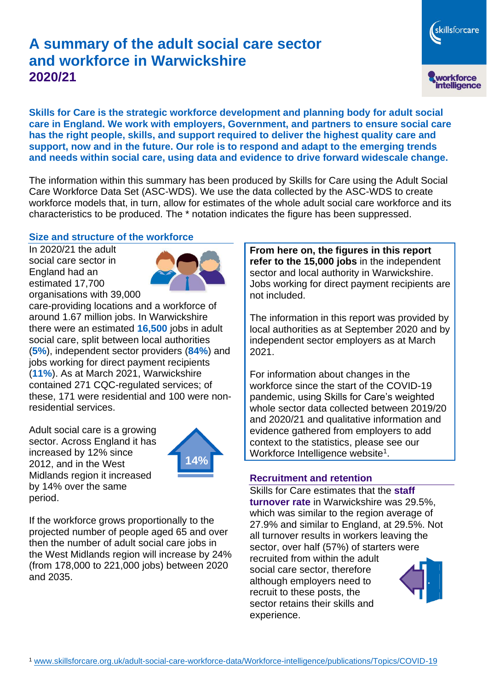# **A summary of the adult social care sector and workforce in Warwickshire 2020/21**

skillsforcare workforce<br>intelligence

**Skills for Care is the strategic workforce development and planning body for adult social care in England. We work with employers, Government, and partners to ensure social care has the right people, skills, and support required to deliver the highest quality care and support, now and in the future. Our role is to respond and adapt to the emerging trends and needs within social care, using data and evidence to drive forward widescale change.**

The information within this summary has been produced by Skills for Care using the Adult Social Care Workforce Data Set (ASC-WDS). We use the data collected by the ASC-WDS to create workforce models that, in turn, allow for estimates of the whole adult social care workforce and its characteristics to be produced. The \* notation indicates the figure has been suppressed.

#### **Size and structure of the workforce**

In 2020/21 the adult social care sector in England had an estimated 17,700 organisations with 39,000



care-providing locations and a workforce of around 1.67 million jobs. In Warwickshire there were an estimated **16,500** jobs in adult social care, split between local authorities (**5%**), independent sector providers (**84%**) and jobs working for direct payment recipients (**11%**). As at March 2021, Warwickshire contained 271 CQC-regulated services; of these, 171 were residential and 100 were nonresidential services.

Adult social care is a growing sector. Across England it has increased by 12% since 2012, and in the West Midlands region it increased by 14% over the same period.



If the workforce grows proportionally to the projected number of people aged 65 and over then the number of adult social care jobs in the West Midlands region will increase by 24% (from 178,000 to 221,000 jobs) between 2020 and 2035.

**From here on, the figures in this report refer to the 15,000 jobs** in the independent sector and local authority in Warwickshire. Jobs working for direct payment recipients are not included.

The information in this report was provided by local authorities as at September 2020 and by independent sector employers as at March 2021.

For information about changes in the workforce since the start of the COVID-19 pandemic, using Skills for Care's weighted whole sector data collected between 2019/20 and 2020/21 and qualitative information and evidence gathered from employers to add context to the statistics, please see our Workforce Intelligence website<sup>1</sup>.

#### **Recruitment and retention**

Skills for Care estimates that the **staff turnover rate** in Warwickshire was 29.5%, which was similar to the region average of 27.9% and similar to England, at 29.5%. Not all turnover results in workers leaving the sector, over half (57%) of starters were recruited from within the adult social care sector, therefore although employers need to recruit to these posts, the sector retains their skills and experience.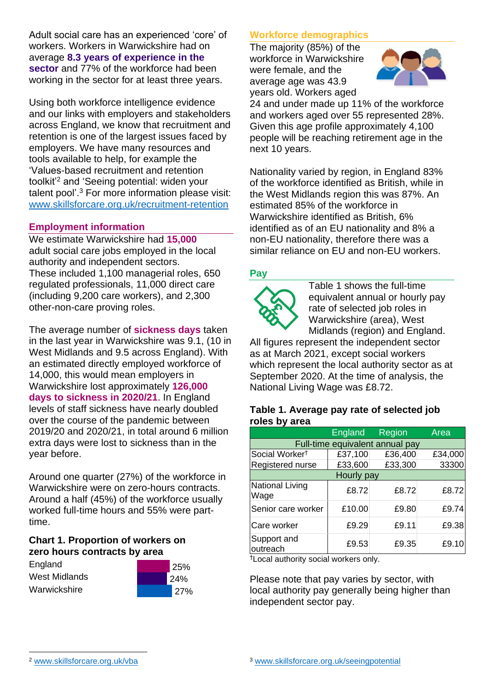Adult social care has an experienced 'core' of workers. Workers in Warwickshire had on average **8.3 years of experience in the sector** and 77% of the workforce had been working in the sector for at least three years.

Using both workforce intelligence evidence and our links with employers and stakeholders across England, we know that recruitment and retention is one of the largest issues faced by employers. We have many resources and tools available to help, for example the 'Values-based recruitment and retention toolkit'<sup>2</sup> and 'Seeing potential: widen your talent pool'. <sup>3</sup> For more information please visit: [www.skillsforcare.org.uk/recruitment-retention](http://www.skillsforcare.org.uk/recruitment-retention)

#### **Employment information**

We estimate Warwickshire had **15,000** adult social care jobs employed in the local authority and independent sectors. These included 1,100 managerial roles, 650 regulated professionals, 11,000 direct care (including 9,200 care workers), and 2,300 other-non-care proving roles.

The average number of **sickness days** taken in the last year in Warwickshire was 9.1, (10 in West Midlands and 9.5 across England). With an estimated directly employed workforce of 14,000, this would mean employers in Warwickshire lost approximately **126,000 days to sickness in 2020/21**. In England levels of staff sickness have nearly doubled over the course of the pandemic between 2019/20 and 2020/21, in total around 6 million extra days were lost to sickness than in the year before.

Around one quarter (27%) of the workforce in Warwickshire were on zero-hours contracts. Around a half (45%) of the workforce usually worked full-time hours and 55% were parttime.

#### **Chart 1. Proportion of workers on zero hours contracts by area**

| England       |  |  |  |  |
|---------------|--|--|--|--|
| West Midlands |  |  |  |  |
| Warwickshire  |  |  |  |  |



#### **Workforce demographics**

The majority (85%) of the workforce in Warwickshire were female, and the average age was 43.9 years old. Workers aged



24 and under made up 11% of the workforce and workers aged over 55 represented 28%. Given this age profile approximately 4,100 people will be reaching retirement age in the next 10 years.

Nationality varied by region, in England 83% of the workforce identified as British, while in the West Midlands region this was 87%. An estimated 85% of the workforce in Warwickshire identified as British, 6% identified as of an EU nationality and 8% a non-EU nationality, therefore there was a similar reliance on EU and non-EU workers.

#### **Pay**



Table 1 shows the full-time equivalent annual or hourly pay rate of selected job roles in Warwickshire (area), West Midlands (region) and England.

All figures represent the independent sector as at March 2021, except social workers which represent the local authority sector as at September 2020. At the time of analysis, the National Living Wage was £8.72.

#### **Table 1. Average pay rate of selected job roles by area**

|                                 | <b>England</b> | <b>Region</b> | Area    |  |
|---------------------------------|----------------|---------------|---------|--|
| Full-time equivalent annual pay |                |               |         |  |
| Social Worker <sup>t</sup>      | £37,100        | £36,400       | £34,000 |  |
| Registered nurse                | £33,600        | £33,300       | 33300   |  |
| Hourly pay                      |                |               |         |  |
| National Living<br>Wage         | £8.72          | £8.72         | £8.72   |  |
| Senior care worker              | £10.00         | £9.80         | £9.74   |  |
| Care worker                     | £9.29          | £9.11         | £9.38   |  |
| Support and<br>outreach         | £9.53          | £9.35         | £9.10   |  |

†Local authority social workers only.

Please note that pay varies by sector, with local authority pay generally being higher than independent sector pay.

[www.skillsforcare.org.uk/vba](http://www.skillsforcare.org.uk/vba)